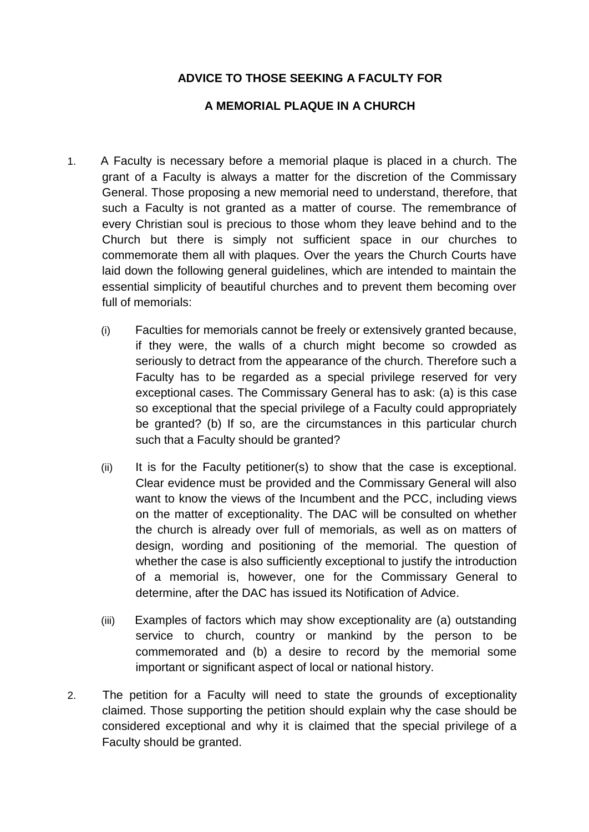## **ADVICE TO THOSE SEEKING A FACULTY FOR**

## **A MEMORIAL PLAQUE IN A CHURCH**

- 1. A Faculty is necessary before a memorial plaque is placed in a church. The grant of a Faculty is always a matter for the discretion of the Commissary General. Those proposing a new memorial need to understand, therefore, that such a Faculty is not granted as a matter of course. The remembrance of every Christian soul is precious to those whom they leave behind and to the Church but there is simply not sufficient space in our churches to commemorate them all with plaques. Over the years the Church Courts have laid down the following general guidelines, which are intended to maintain the essential simplicity of beautiful churches and to prevent them becoming over full of memorials:
	- (i) Faculties for memorials cannot be freely or extensively granted because, if they were, the walls of a church might become so crowded as seriously to detract from the appearance of the church. Therefore such a Faculty has to be regarded as a special privilege reserved for very exceptional cases. The Commissary General has to ask: (a) is this case so exceptional that the special privilege of a Faculty could appropriately be granted? (b) If so, are the circumstances in this particular church such that a Faculty should be granted?
	- (ii) It is for the Faculty petitioner(s) to show that the case is exceptional. Clear evidence must be provided and the Commissary General will also want to know the views of the Incumbent and the PCC, including views on the matter of exceptionality. The DAC will be consulted on whether the church is already over full of memorials, as well as on matters of design, wording and positioning of the memorial. The question of whether the case is also sufficiently exceptional to justify the introduction of a memorial is, however, one for the Commissary General to determine, after the DAC has issued its Notification of Advice.
	- (iii) Examples of factors which may show exceptionality are (a) outstanding service to church, country or mankind by the person to be commemorated and (b) a desire to record by the memorial some important or significant aspect of local or national history.
- 2. The petition for a Faculty will need to state the grounds of exceptionality claimed. Those supporting the petition should explain why the case should be considered exceptional and why it is claimed that the special privilege of a Faculty should be granted.